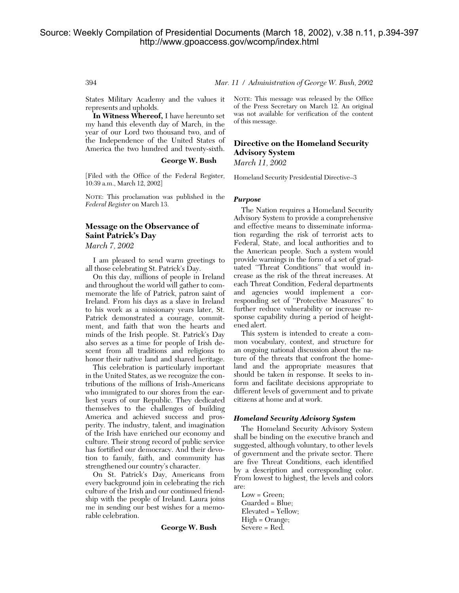394 *Mar. 11 / Administration of George W. Bush, 2002*

States Military Academy and the values it represents and upholds.

**In Witness Whereof,** I have hereunto set my hand this eleventh day of March, in the year of our Lord two thousand two, and of the Independence of the United States of America the two hundred and twenty-sixth.

### **George W. Bush**

[Filed with the Office of the Federal Register, 10:39 a.m., March 12, 2002]

NOTE: This proclamation was published in the *Federal Register* on March 13.

## **Message on the Observance of Saint Patrick's Day**

*March 7, 2002*

I am pleased to send warm greetings to all those celebrating St. Patrick's Day.

On this day, millions of people in Ireland and throughout the world will gather to commemorate the life of Patrick, patron saint of Ireland. From his days as a slave in Ireland to his work as a missionary years later, St. Patrick demonstrated a courage, commitment, and faith that won the hearts and minds of the Irish people. St. Patrick's Day also serves as a time for people of Irish descent from all traditions and religions to honor their native land and shared heritage.

This celebration is particularly important in the United States, as we recognize the contributions of the millions of Irish-Americans who immigrated to our shores from the earliest years of our Republic. They dedicated themselves to the challenges of building America and achieved success and prosperity. The industry, talent, and imagination of the Irish have enriched our economy and culture. Their strong record of public service has fortified our democracy. And their devotion to family, faith, and community has strengthened our country's character.

On St. Patrick's Day, Americans from every background join in celebrating the rich culture of the Irish and our continued friendship with the people of Ireland. Laura joins me in sending our best wishes for a memorable celebration.

**George W. Bush**

NOTE: This message was released by the Office of the Press Secretary on March 12. An original was not available for verification of the content of this message.

## **Directive on the Homeland Security Advisory System**

*March 11, 2002*

Homeland Security Presidential Directive–3

#### *Purpose*

The Nation requires a Homeland Security Advisory System to provide a comprehensive and effective means to disseminate information regarding the risk of terrorist acts to Federal, State, and local authorities and to the American people. Such a system would provide warnings in the form of a set of graduated ''Threat Conditions'' that would increase as the risk of the threat increases. At each Threat Condition, Federal departments and agencies would implement a corresponding set of ''Protective Measures'' to further reduce vulnerability or increase response capability during a period of heightened alert.

This system is intended to create a common vocabulary, context, and structure for an ongoing national discussion about the nature of the threats that confront the homeland and the appropriate measures that should be taken in response. It seeks to inform and facilitate decisions appropriate to different levels of government and to private citizens at home and at work.

### *Homeland Security Advisory System*

The Homeland Security Advisory System shall be binding on the executive branch and suggested, although voluntary, to other levels of government and the private sector. There are five Threat Conditions, each identified by a description and corresponding color. From lowest to highest, the levels and colors are:

Low = Green; Guarded = Blue; Elevated = Yellow; High = Orange; Severe = Red.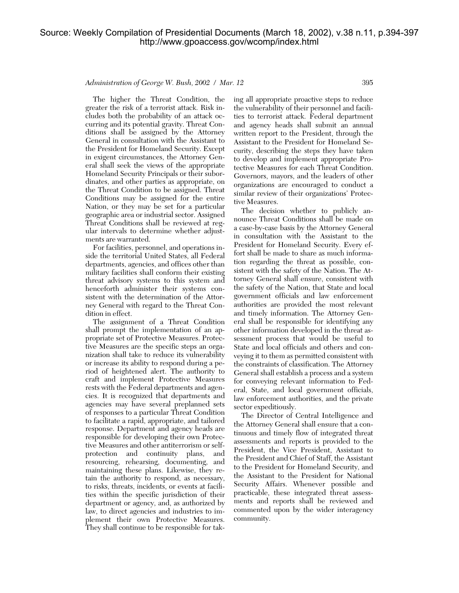### *Administration of George W. Bush, 2002 / Mar. 12* 395

The higher the Threat Condition, the greater the risk of a terrorist attack. Risk includes both the probability of an attack occurring and its potential gravity. Threat Conditions shall be assigned by the Attorney General in consultation with the Assistant to the President for Homeland Security. Except in exigent circumstances, the Attorney General shall seek the views of the appropriate Homeland Security Principals or their subordinates, and other parties as appropriate, on the Threat Condition to be assigned. Threat Conditions may be assigned for the entire Nation, or they may be set for a particular geographic area or industrial sector. Assigned Threat Conditions shall be reviewed at regular intervals to determine whether adjustments are warranted.

For facilities, personnel, and operations inside the territorial United States, all Federal departments, agencies, and offices other than military facilities shall conform their existing threat advisory systems to this system and henceforth administer their systems consistent with the determination of the Attorney General with regard to the Threat Condition in effect.

The assignment of a Threat Condition shall prompt the implementation of an appropriate set of Protective Measures. Protective Measures are the specific steps an organization shall take to reduce its vulnerability or increase its ability to respond during a period of heightened alert. The authority to craft and implement Protective Measures rests with the Federal departments and agencies. It is recognized that departments and agencies may have several preplanned sets of responses to a particular Threat Condition to facilitate a rapid, appropriate, and tailored response. Department and agency heads are responsible for developing their own Protective Measures and other antiterrorism or selfprotection and continuity plans, and resourcing, rehearsing, documenting, and maintaining these plans. Likewise, they retain the authority to respond, as necessary, to risks, threats, incidents, or events at facilities within the specific jurisdiction of their department or agency, and, as authorized by law, to direct agencies and industries to implement their own Protective Measures. They shall continue to be responsible for taking all appropriate proactive steps to reduce the vulnerability of their personnel and facilities to terrorist attack. Federal department and agency heads shall submit an annual written report to the President, through the Assistant to the President for Homeland Security, describing the steps they have taken to develop and implement appropriate Protective Measures for each Threat Condition. Governors, mayors, and the leaders of other organizations are encouraged to conduct a similar review of their organizations' Protective Measures.

The decision whether to publicly announce Threat Conditions shall be made on a case-by-case basis by the Attorney General in consultation with the Assistant to the President for Homeland Security. Every effort shall be made to share as much information regarding the threat as possible, consistent with the safety of the Nation. The Attorney General shall ensure, consistent with the safety of the Nation, that State and local government officials and law enforcement authorities are provided the most relevant and timely information. The Attorney General shall be responsible for identifying any other information developed in the threat assessment process that would be useful to State and local officials and others and conveying it to them as permitted consistent with the constraints of classification. The Attorney General shall establish a process and a system for conveying relevant information to Federal, State, and local government officials, law enforcement authorities, and the private sector expeditiously.

The Director of Central Intelligence and the Attorney General shall ensure that a continuous and timely flow of integrated threat assessments and reports is provided to the President, the Vice President, Assistant to the President and Chief of Staff, the Assistant to the President for Homeland Security, and the Assistant to the President for National Security Affairs. Whenever possible and practicable, these integrated threat assessments and reports shall be reviewed and commented upon by the wider interagency community.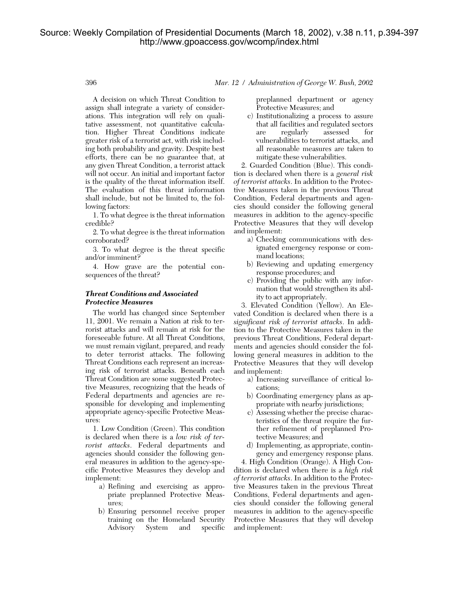A decision on which Threat Condition to assign shall integrate a variety of considerations. This integration will rely on qualitative assessment, not quantitative calculation. Higher Threat Conditions indicate greater risk of a terrorist act, with risk including both probability and gravity. Despite best efforts, there can be no guarantee that, at any given Threat Condition, a terrorist attack will not occur. An initial and important factor is the quality of the threat information itself. The evaluation of this threat information shall include, but not be limited to, the following factors:

1. To what degree is the threat information credible?

2. To what degree is the threat information corroborated?

3. To what degree is the threat specific and/or imminent?

4. How grave are the potential consequences of the threat?

## *Threat Conditions and Associated Protective Measures*

The world has changed since September 11, 2001. We remain a Nation at risk to terrorist attacks and will remain at risk for the foreseeable future. At all Threat Conditions, we must remain vigilant, prepared, and ready to deter terrorist attacks. The following Threat Conditions each represent an increasing risk of terrorist attacks. Beneath each Threat Condition are some suggested Protective Measures, recognizing that the heads of Federal departments and agencies are responsible for developing and implementing appropriate agency-specific Protective Measures:

1. Low Condition (Green). This condition is declared when there is a *low risk of terrorist attacks*. Federal departments and agencies should consider the following general measures in addition to the agency-specific Protective Measures they develop and implement:

- a) Refining and exercising as appropriate preplanned Protective Measures;
- b) Ensuring personnel receive proper training on the Homeland Security Advisory System and specific

396 *Mar. 12 / Administration of George W. Bush, 2002*

preplanned department or agency Protective Measures; and

c) Institutionalizing a process to assure that all facilities and regulated sectors are regularly assessed for vulnerabilities to terrorist attacks, and all reasonable measures are taken to mitigate these vulnerabilities.

2. Guarded Condition (Blue). This condition is declared when there is a *general risk of terrorist attacks*. In addition to the Protective Measures taken in the previous Threat Condition, Federal departments and agencies should consider the following general measures in addition to the agency-specific Protective Measures that they will develop and implement:

- a) Checking communications with designated emergency response or command locations;
- b) Reviewing and updating emergency response procedures; and
- c) Providing the public with any information that would strengthen its ability to act appropriately.

3. Elevated Condition (Yellow). An Elevated Condition is declared when there is a *significant risk of terrorist attacks*. In addition to the Protective Measures taken in the previous Threat Conditions, Federal departments and agencies should consider the following general measures in addition to the Protective Measures that they will develop and implement:

- a) Increasing surveillance of critical locations;
- b) Coordinating emergency plans as appropriate with nearby jurisdictions;
- c) Assessing whether the precise characteristics of the threat require the further refinement of preplanned Protective Measures; and
- d) Implementing, as appropriate, contingency and emergency response plans.

4. High Condition (Orange). A High Condition is declared when there is a *high risk of terrorist attacks*. In addition to the Protective Measures taken in the previous Threat Conditions, Federal departments and agencies should consider the following general measures in addition to the agency-specific Protective Measures that they will develop and implement: